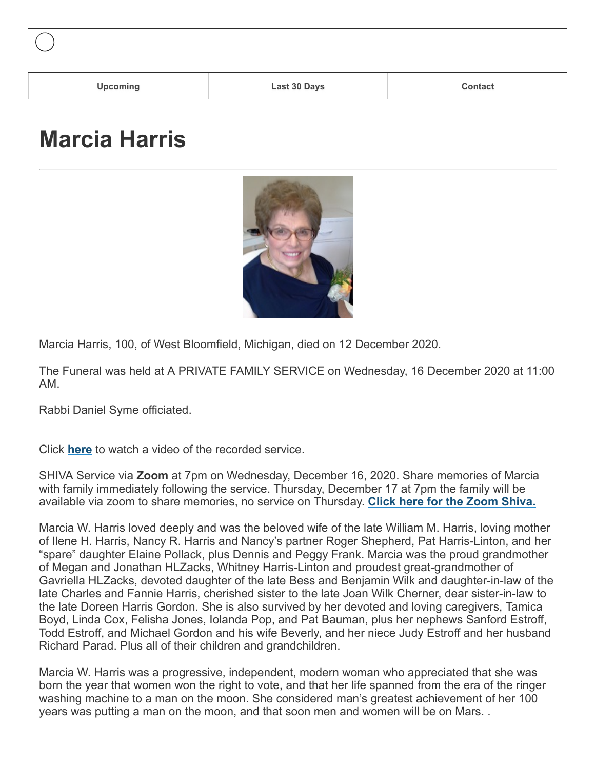## **Marcia Harris**



Marcia Harris, 100, of West Bloomfield, Michigan, died on 12 December 2020.

The Funeral was held at A PRIVATE FAMILY SERVICE on Wednesday, 16 December 2020 at 11:00 AM.

Rabbi Daniel Syme officiated.

Click **[here](https://www.irakaufman.com/funerals/index_videoarchive.php?funeralid=7923)** to watch a video of the recorded service.

SHIVA Service via **Zoom** at 7pm on Wednesday, December 16, 2020. Share memories of Marcia with family immediately following the service. Thursday, December 17 at 7pm the family will be available via zoom to share memories, no service on Thursday. **[Click here for the Zoom Shiva.](https://zoom.us/j/6233931916%20%E2%80%9Ctarget=)**

Marcia W. Harris loved deeply and was the beloved wife of the late William M. Harris, loving mother of Ilene H. Harris, Nancy R. Harris and Nancy's partner Roger Shepherd, Pat Harris-Linton, and her "spare" daughter Elaine Pollack, plus Dennis and Peggy Frank. Marcia was the proud grandmother of Megan and Jonathan HLZacks, Whitney Harris-Linton and proudest great-grandmother of Gavriella HLZacks, devoted daughter of the late Bess and Benjamin Wilk and daughter-in-law of the late Charles and Fannie Harris, cherished sister to the late Joan Wilk Cherner, dear sister-in-law to the late Doreen Harris Gordon. She is also survived by her devoted and loving caregivers, Tamica Boyd, Linda Cox, Felisha Jones, Iolanda Pop, and Pat Bauman, plus her nephews Sanford Estroff, Todd Estroff, and Michael Gordon and his wife Beverly, and her niece Judy Estroff and her husband Richard Parad. Plus all of their children and grandchildren.

Marcia W. Harris was a progressive, independent, modern woman who appreciated that she was born the year that women won the right to vote, and that her life spanned from the era of the ringer washing machine to a man on the moon. She considered man's greatest achievement of her 100 years was putting a man on the moon, and that soon men and women will be on Mars. .